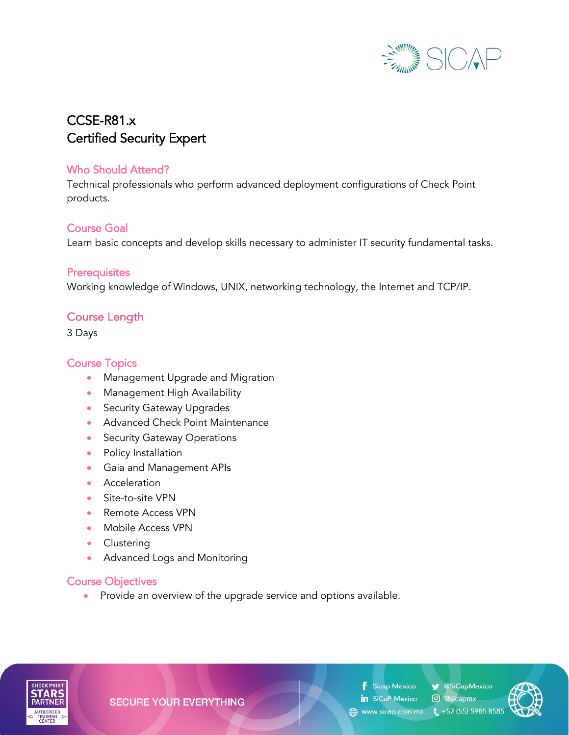

# CCSE-R81.x Certified Security Expert

#### Who Should Attend?

Technical professionals who perform advanced deployment configurations of Check Point products.

## Course Goal

Learn basic concepts and develop skills necessary to administer IT security fundamental tasks.

#### **Prerequisites**

Working knowledge of Windows, UNIX, networking technology, the Internet and TCP/IP.

# Course Length

3 Days

# Course Topics

- Management Upgrade and Migration
- Management High Availability
- Security Gateway Upgrades
- Advanced Check Point Maintenance
- Security Gateway Operations
- Policy Installation
- Gaia and Management APIs
- Acceleration
- Site-to-site VPN
- Remote Access VPN
- Mobile Access VPN
- Clustering
- Advanced Logs and Monitoring

## Course Objectives

• Provide an overview of the upgrade service and options available.



**SECURE YOUR EVERYTHING** 

**f** Sicap Mexico in SiCaP Mexico © @sicapmx

**SiCapMexico** 

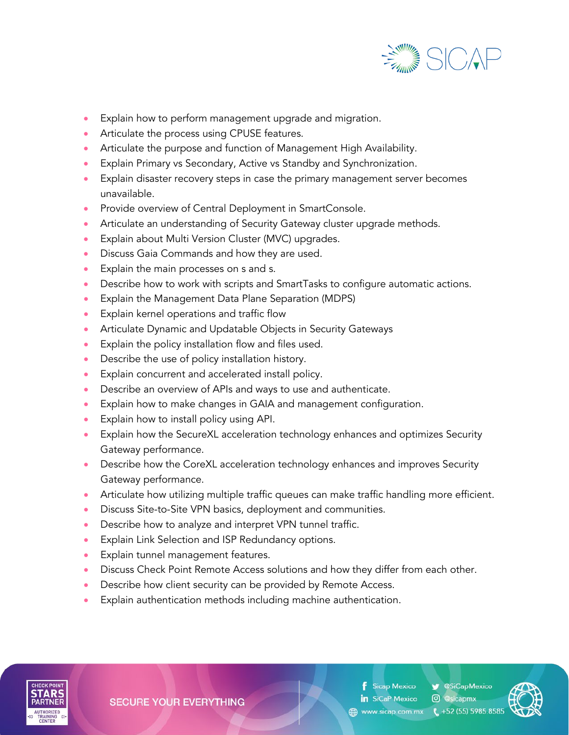

- Explain how to perform management upgrade and migration.
- Articulate the process using CPUSE features.
- Articulate the purpose and function of Management High Availability.
- Explain Primary vs Secondary, Active vs Standby and Synchronization.
- Explain disaster recovery steps in case the primary management server becomes unavailable.
- Provide overview of Central Deployment in SmartConsole.
- Articulate an understanding of Security Gateway cluster upgrade methods.
- Explain about Multi Version Cluster (MVC) upgrades.
- Discuss Gaia Commands and how they are used.
- Explain the main processes on s and s.
- Describe how to work with scripts and SmartTasks to configure automatic actions.
- Explain the Management Data Plane Separation (MDPS)
- Explain kernel operations and traffic flow
- Articulate Dynamic and Updatable Objects in Security Gateways
- Explain the policy installation flow and files used.
- Describe the use of policy installation history.
- Explain concurrent and accelerated install policy.
- Describe an overview of APIs and ways to use and authenticate.
- Explain how to make changes in GAIA and management configuration.
- Explain how to install policy using API.
- Explain how the SecureXL acceleration technology enhances and optimizes Security Gateway performance.
- Describe how the CoreXL acceleration technology enhances and improves Security Gateway performance.
- Articulate how utilizing multiple traffic queues can make traffic handling more efficient.
- Discuss Site-to-Site VPN basics, deployment and communities.
- Describe how to analyze and interpret VPN tunnel traffic.
- Explain Link Selection and ISP Redundancy options.
- Explain tunnel management features.
- Discuss Check Point Remote Access solutions and how they differ from each other.
- Describe how client security can be provided by Remote Access.
- Explain authentication methods including machine authentication.



**SECURE YOUR EVERYTHING** 

Sicap Mexico in SiCaP Mexico www.sicap.com.mx ( +52 (55) 5985.8585

**W** @SiCapMexico C @sicapmx

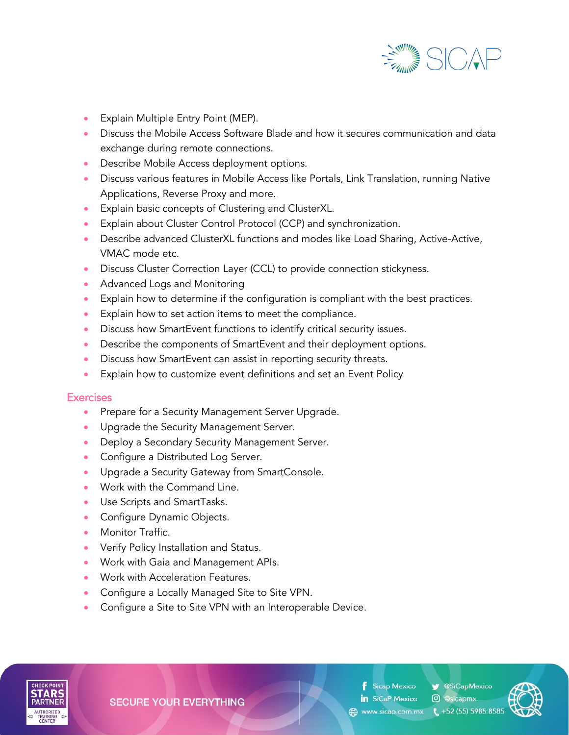

- Explain Multiple Entry Point (MEP).
- Discuss the Mobile Access Software Blade and how it secures communication and data exchange during remote connections.
- Describe Mobile Access deployment options.
- Discuss various features in Mobile Access like Portals, Link Translation, running Native Applications, Reverse Proxy and more.
- Explain basic concepts of Clustering and ClusterXL.
- Explain about Cluster Control Protocol (CCP) and synchronization.
- Describe advanced ClusterXL functions and modes like Load Sharing, Active-Active, VMAC mode etc.
- Discuss Cluster Correction Layer (CCL) to provide connection stickyness.
- Advanced Logs and Monitoring
- Explain how to determine if the configuration is compliant with the best practices.
- Explain how to set action items to meet the compliance.
- Discuss how SmartEvent functions to identify critical security issues.
- Describe the components of SmartEvent and their deployment options.
- Discuss how SmartEvent can assist in reporting security threats.
- Explain how to customize event definitions and set an Event Policy

#### **Exercises**

- Prepare for a Security Management Server Upgrade.
- Upgrade the Security Management Server.
- Deploy a Secondary Security Management Server.
- Configure a Distributed Log Server.
- Upgrade a Security Gateway from SmartConsole.
- Work with the Command Line.
- Use Scripts and SmartTasks.
- Configure Dynamic Objects.
- Monitor Traffic.
- Verify Policy Installation and Status.
- Work with Gaia and Management APIs.
- Work with Acceleration Features.
- Configure a Locally Managed Site to Site VPN.
- Configure a Site to Site VPN with an Interoperable Device.



**SECURE YOUR EVERYTHING** 

**f** Sicap Mexico in SiCaP Mexico

SiCapMexico

**@** @sicapmx